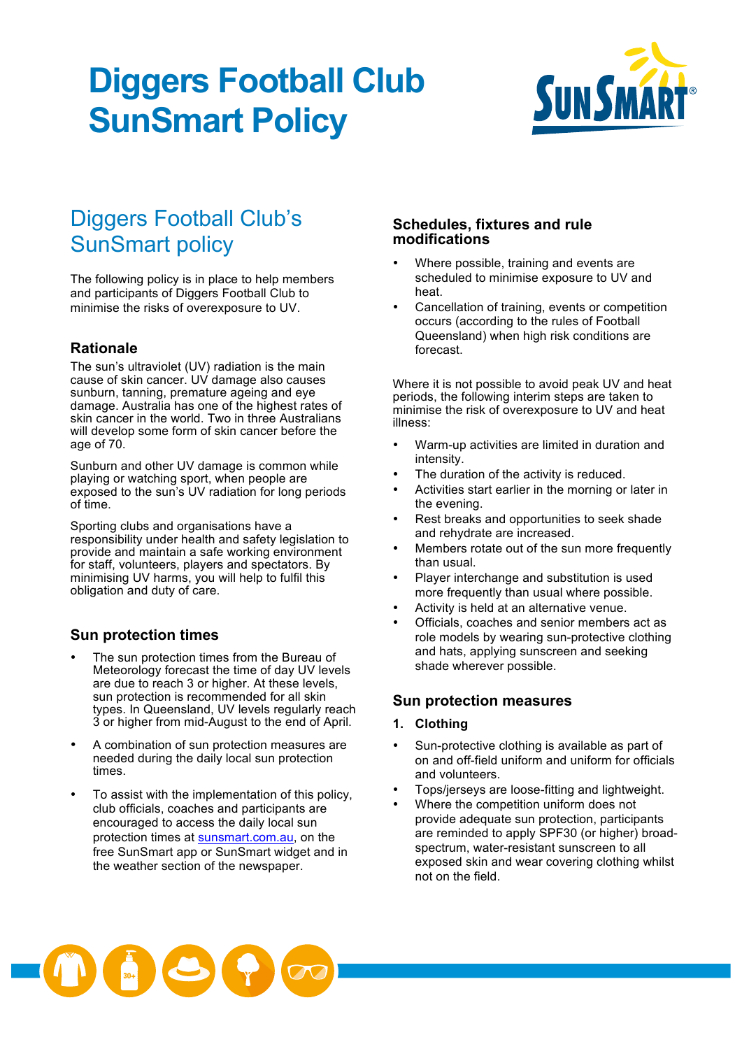# **Diggers Football Club SunSmart Policy**



### Diggers Football Club's SunSmart policy

The following policy is in place to help members and participants of Diggers Football Club to minimise the risks of overexposure to UV.

#### **Rationale**

The sun's ultraviolet (UV) radiation is the main cause of skin cancer. UV damage also causes sunburn, tanning, premature ageing and eye damage. Australia has one of the highest rates of skin cancer in the world. Two in three Australians will develop some form of skin cancer before the age of 70.

Sunburn and other UV damage is common while playing or watching sport, when people are exposed to the sun's UV radiation for long periods of time.

Sporting clubs and organisations have a responsibility under health and safety legislation to provide and maintain a safe working environment for staff, volunteers, players and spectators. By minimising UV harms, you will help to fulfil this obligation and duty of care.

#### **Sun protection times**

- The sun protection times from the Bureau of Meteorology forecast the time of day UV levels are due to reach 3 or higher. At these levels, sun protection is recommended for all skin types. In Queensland, UV levels regularly reach 3 or higher from mid-August to the end of April.
- A combination of sun protection measures are needed during the daily local sun protection times.
- To assist with the implementation of this policy, club officials, coaches and participants are encouraged to access the daily local sun protection times at sunsmart.com.au, on the free SunSmart app or SunSmart widget and in the weather section of the newspaper.

#### **Schedules, fixtures and rule modifications**

- Where possible, training and events are scheduled to minimise exposure to UV and heat.
- Cancellation of training, events or competition occurs (according to the rules of Football Queensland) when high risk conditions are forecast.

Where it is not possible to avoid peak UV and heat periods, the following interim steps are taken to minimise the risk of overexposure to UV and heat illness:

- Warm-up activities are limited in duration and intensity.
- The duration of the activity is reduced.
- Activities start earlier in the morning or later in the evening.
- Rest breaks and opportunities to seek shade and rehydrate are increased.
- Members rotate out of the sun more frequently than usual.
- Player interchange and substitution is used more frequently than usual where possible.
- Activity is held at an alternative venue.
- Officials, coaches and senior members act as role models by wearing sun-protective clothing and hats, applying sunscreen and seeking shade wherever possible.

#### **Sun protection measures**

#### **1. Clothing**

- Sun-protective clothing is available as part of on and off-field uniform and uniform for officials and volunteers.
- Tops/jerseys are loose-fitting and lightweight.
- Where the competition uniform does not provide adequate sun protection, participants are reminded to apply SPF30 (or higher) broadspectrum, water-resistant sunscreen to all exposed skin and wear covering clothing whilst not on the field.